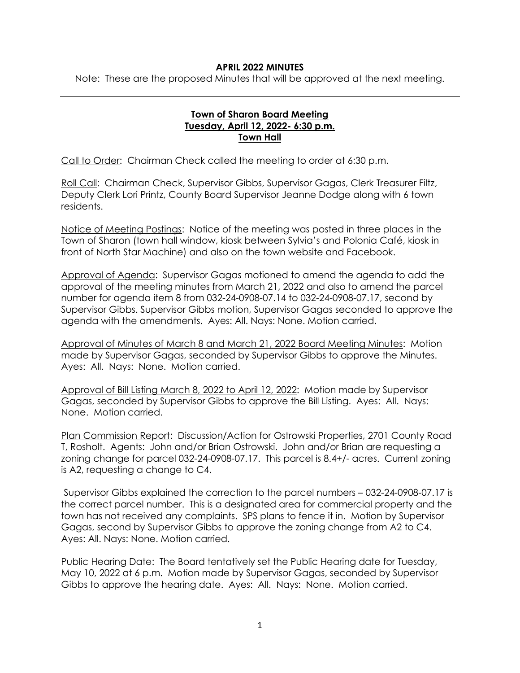## **APRIL 2022 MINUTES**

Note: These are the proposed Minutes that will be approved at the next meeting.

## **Town of Sharon Board Meeting Tuesday, April 12, 2022- 6:30 p.m. Town Hall**

Call to Order: Chairman Check called the meeting to order at 6:30 p.m.

Roll Call: Chairman Check, Supervisor Gibbs, Supervisor Gagas, Clerk Treasurer Filtz, Deputy Clerk Lori Printz, County Board Supervisor Jeanne Dodge along with 6 town residents.

Notice of Meeting Postings: Notice of the meeting was posted in three places in the Town of Sharon (town hall window, kiosk between Sylvia's and Polonia Café, kiosk in front of North Star Machine) and also on the town website and Facebook.

Approval of Agenda: Supervisor Gagas motioned to amend the agenda to add the approval of the meeting minutes from March 21, 2022 and also to amend the parcel number for agenda item 8 from 032-24-0908-07.14 to 032-24-0908-07.17, second by Supervisor Gibbs. Supervisor Gibbs motion, Supervisor Gagas seconded to approve the agenda with the amendments. Ayes: All. Nays: None. Motion carried.

Approval of Minutes of March 8 and March 21, 2022 Board Meeting Minutes: Motion made by Supervisor Gagas, seconded by Supervisor Gibbs to approve the Minutes. Ayes: All. Nays: None. Motion carried.

Approval of Bill Listing March 8, 2022 to April 12, 2022: Motion made by Supervisor Gagas, seconded by Supervisor Gibbs to approve the Bill Listing. Ayes: All. Nays: None. Motion carried.

Plan Commission Report: Discussion/Action for Ostrowski Properties, 2701 County Road T, Rosholt. Agents: John and/or Brian Ostrowski. John and/or Brian are requesting a zoning change for parcel 032-24-0908-07.17. This parcel is 8.4+/- acres. Current zoning is A2, requesting a change to C4.

Supervisor Gibbs explained the correction to the parcel numbers – 032-24-0908-07.17 is the correct parcel number. This is a designated area for commercial property and the town has not received any complaints. SPS plans to fence it in. Motion by Supervisor Gagas, second by Supervisor Gibbs to approve the zoning change from A2 to C4. Ayes: All. Nays: None. Motion carried.

Public Hearing Date: The Board tentatively set the Public Hearing date for Tuesday, May 10, 2022 at 6 p.m. Motion made by Supervisor Gagas, seconded by Supervisor Gibbs to approve the hearing date. Ayes: All. Nays: None. Motion carried.